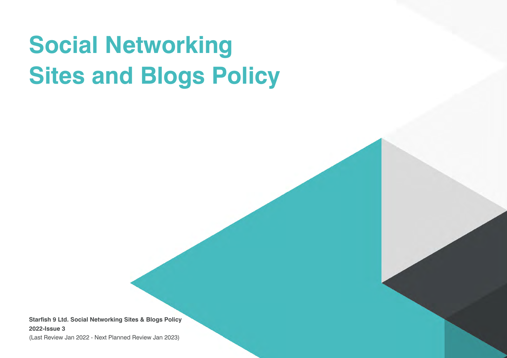# **Social Networking Sites and Blogs Policy**

**Starfish 9 Ltd. Social Networking Sites & Blogs Policy 2022-Issue 3**

(Last Review Jan 2022 - Next Planned Review Jan 2023)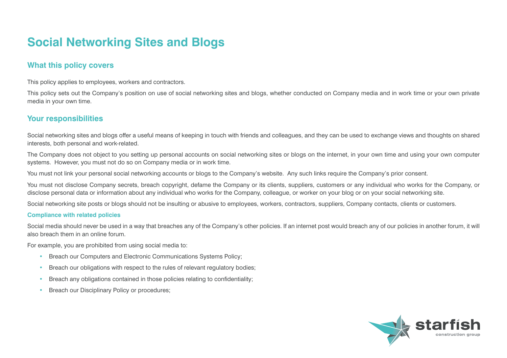# **Social Networking Sites and Blogs**

# **What this policy covers**

This policy applies to employees, workers and contractors.

This policy sets out the Company's position on use of social networking sites and blogs, whether conducted on Company media and in work time or your own private media in your own time.

## **Your responsibilities**

Social networking sites and blogs offer a useful means of keeping in touch with friends and colleagues, and they can be used to exchange views and thoughts on shared interests, both personal and work-related.

The Company does not object to you setting up personal accounts on social networking sites or blogs on the internet, in your own time and using your own computer systems. However, you must not do so on Company media or in work time.

You must not link your personal social networking accounts or blogs to the Company's website. Any such links require the Company's prior consent.

You must not disclose Company secrets, breach copyright, defame the Company or its clients, suppliers, customers or any individual who works for the Company, or disclose personal data or information about any individual who works for the Company, colleague, or worker on your blog or on your social networking site.

Social networking site posts or blogs should not be insulting or abusive to employees, workers, contractors, suppliers, Company contacts, clients or customers.

#### **Compliance with related policies**

Social media should never be used in a way that breaches any of the Company's other policies. If an internet post would breach any of our policies in another forum, it will also breach them in an online forum.

For example, you are prohibited from using social media to:

- Breach our Computers and Electronic Communications Systems Policy;
- Breach our obligations with respect to the rules of relevant regulatory bodies;
- Breach any obligations contained in those policies relating to confidentiality;
- Breach our Disciplinary Policy or procedures;

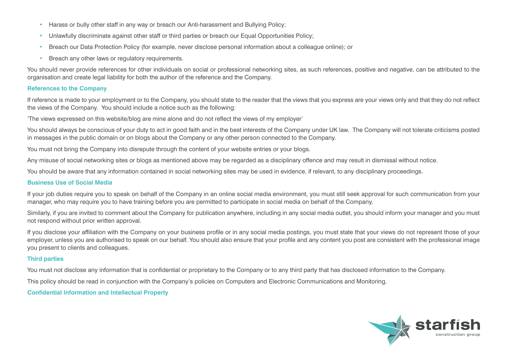- Harass or bully other staff in any way or breach our Anti-harassment and Bullying Policy;
- Unlawfully discriminate against other staff or third parties or breach our Equal Opportunities Policy;
- Breach our Data Protection Policy (for example, never disclose personal information about a colleague online); or
- Breach any other laws or regulatory requirements.

You should never provide references for other individuals on social or professional networking sites, as such references, positive and negative, can be attributed to the organisation and create legal liability for both the author of the reference and the Company.

#### **References to the Company**

If reference is made to your employment or to the Company, you should state to the reader that the views that you express are your views only and that they do not reflect the views of the Company. You should include a notice such as the following:

'The views expressed on this website/blog are mine alone and do not reflect the views of my employer'

You should always be conscious of your duty to act in good faith and in the best interests of the Company under UK law. The Company will not tolerate criticisms posted in messages in the public domain or on blogs about the Company or any other person connected to the Company.

You must not bring the Company into disrepute through the content of your website entries or your blogs.

Any misuse of social networking sites or blogs as mentioned above may be regarded as a disciplinary offence and may result in dismissal without notice.

You should be aware that any information contained in social networking sites may be used in evidence, if relevant, to any disciplinary proceedings.

#### **Business Use of Social Media**

If your job duties require you to speak on behalf of the Company in an online social media environment, you must still seek approval for such communication from your manager, who may require you to have training before you are permitted to participate in social media on behalf of the Company.

Similarly, if you are invited to comment about the Company for publication anywhere, including in any social media outlet, you should inform your manager and you must not respond without prior written approval.

If you disclose your affiliation with the Company on your business profile or in any social media postings, you must state that your views do not represent those of your employer, unless you are authorised to speak on our behalf. You should also ensure that your profile and any content you post are consistent with the professional image you present to clients and colleagues.

#### **Third parties**

You must not disclose any information that is confidential or proprietary to the Company or to any third party that has disclosed information to the Company.

This policy should be read in conjunction with the Company's policies on Computers and Electronic Communications and Monitoring.

**Confidential Information and Intellectual Property**